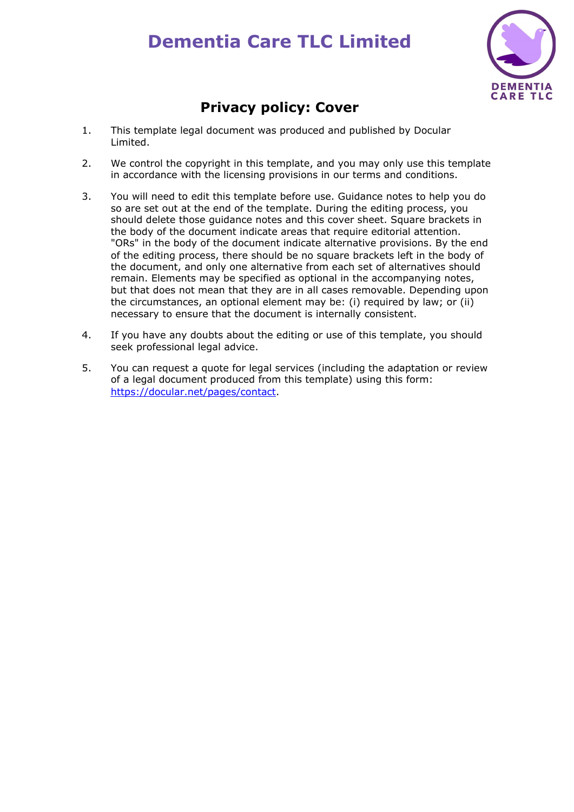# **Dementia Care TLC Limited**



# **Privacy policy: Cover**

- 1. This template legal document was produced and published by Docular Limited.
- 2. We control the copyright in this template, and you may only use this template in accordance with the licensing provisions in our terms and conditions.
- 3. You will need to edit this template before use. Guidance notes to help you do so are set out at the end of the template. During the editing process, you should delete those guidance notes and this cover sheet. Square brackets in the body of the document indicate areas that require editorial attention. "ORs" in the body of the document indicate alternative provisions. By the end of the editing process, there should be no square brackets left in the body of the document, and only one alternative from each set of alternatives should remain. Elements may be specified as optional in the accompanying notes, but that does not mean that they are in all cases removable. Depending upon the circumstances, an optional element may be: (i) required by law; or (ii) necessary to ensure that the document is internally consistent.
- 4. If you have any doubts about the editing or use of this template, you should seek professional legal advice.
- 5. You can request a quote for legal services (including the adaptation or review of a legal document produced from this template) using this form: [https://docular.net/pages/contact.](https://docular.net/pages/contact)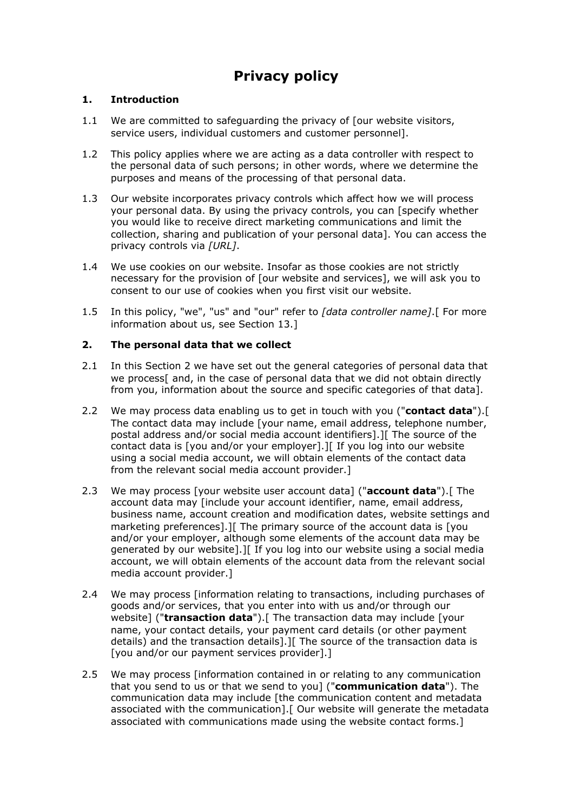# **Privacy policy**

#### **1. Introduction**

- 1.1 We are committed to safeguarding the privacy of [our website visitors, service users, individual customers and customer personnel].
- 1.2 This policy applies where we are acting as a data controller with respect to the personal data of such persons; in other words, where we determine the purposes and means of the processing of that personal data.
- 1.3 Our website incorporates privacy controls which affect how we will process your personal data. By using the privacy controls, you can [specify whether you would like to receive direct marketing communications and limit the collection, sharing and publication of your personal data]. You can access the privacy controls via *[URL]*.
- 1.4 We use cookies on our website. Insofar as those cookies are not strictly necessary for the provision of [our website and services], we will ask you to consent to our use of cookies when you first visit our website.
- 1.5 In this policy, "we", "us" and "our" refer to *[data controller name]*.[ For more information about us, see Section 13.]

#### **2. The personal data that we collect**

- 2.1 In this Section 2 we have set out the general categories of personal data that we process[ and, in the case of personal data that we did not obtain directly from you, information about the source and specific categories of that data].
- 2.2 We may process data enabling us to get in touch with you ("**contact data**").[ The contact data may include [your name, email address, telephone number, postal address and/or social media account identifiers].][ The source of the contact data is [you and/or your employer].][ If you log into our website using a social media account, we will obtain elements of the contact data from the relevant social media account provider.]
- 2.3 We may process [your website user account data] ("**account data**").[ The account data may [include your account identifier, name, email address, business name, account creation and modification dates, website settings and marketing preferences].][ The primary source of the account data is [you and/or your employer, although some elements of the account data may be generated by our website].][ If you log into our website using a social media account, we will obtain elements of the account data from the relevant social media account provider.]
- 2.4 We may process [information relating to transactions, including purchases of goods and/or services, that you enter into with us and/or through our website] ("**transaction data**").[ The transaction data may include [your name, your contact details, your payment card details (or other payment details) and the transaction details].][ The source of the transaction data is [you and/or our payment services provider].]
- 2.5 We may process [information contained in or relating to any communication that you send to us or that we send to you] ("**communication data**"). The communication data may include [the communication content and metadata associated with the communication].[ Our website will generate the metadata associated with communications made using the website contact forms.]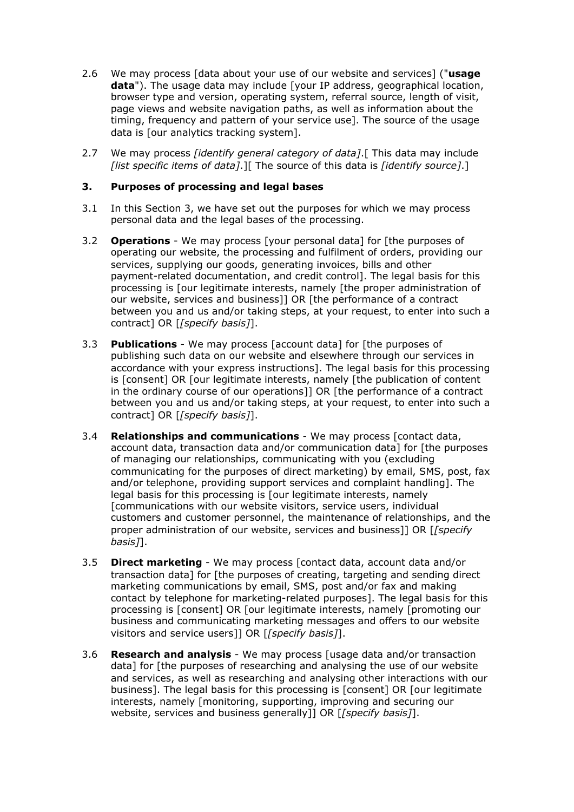- 2.6 We may process [data about your use of our website and services] ("**usage data**"). The usage data may include [your IP address, geographical location, browser type and version, operating system, referral source, length of visit, page views and website navigation paths, as well as information about the timing, frequency and pattern of your service use]. The source of the usage data is [our analytics tracking system].
- 2.7 We may process *[identify general category of data]*.[ This data may include *[list specific items of data]*.][ The source of this data is *[identify source]*.]

#### **3. Purposes of processing and legal bases**

- 3.1 In this Section 3, we have set out the purposes for which we may process personal data and the legal bases of the processing.
- 3.2 **Operations** We may process [your personal data] for [the purposes of operating our website, the processing and fulfilment of orders, providing our services, supplying our goods, generating invoices, bills and other payment-related documentation, and credit control]. The legal basis for this processing is [our legitimate interests, namely [the proper administration of our website, services and business]] OR [the performance of a contract between you and us and/or taking steps, at your request, to enter into such a contract] OR [*[specify basis]*].
- 3.3 **Publications** We may process [account data] for [the purposes of publishing such data on our website and elsewhere through our services in accordance with your express instructions]. The legal basis for this processing is [consent] OR [our legitimate interests, namely [the publication of content in the ordinary course of our operations]] OR [the performance of a contract between you and us and/or taking steps, at your request, to enter into such a contract] OR [*[specify basis]*].
- 3.4 **Relationships and communications** We may process [contact data, account data, transaction data and/or communication data] for [the purposes of managing our relationships, communicating with you (excluding communicating for the purposes of direct marketing) by email, SMS, post, fax and/or telephone, providing support services and complaint handling]. The legal basis for this processing is [our legitimate interests, namely [communications with our website visitors, service users, individual customers and customer personnel, the maintenance of relationships, and the proper administration of our website, services and business]] OR [*[specify basis]*].
- 3.5 **Direct marketing** We may process [contact data, account data and/or transaction data] for [the purposes of creating, targeting and sending direct marketing communications by email, SMS, post and/or fax and making contact by telephone for marketing-related purposes]. The legal basis for this processing is [consent] OR [our legitimate interests, namely [promoting our business and communicating marketing messages and offers to our website visitors and service users]] OR [*[specify basis]*].
- 3.6 **Research and analysis** We may process [usage data and/or transaction data] for [the purposes of researching and analysing the use of our website and services, as well as researching and analysing other interactions with our business]. The legal basis for this processing is [consent] OR [our legitimate interests, namely [monitoring, supporting, improving and securing our website, services and business generally]] OR [*[specify basis]*].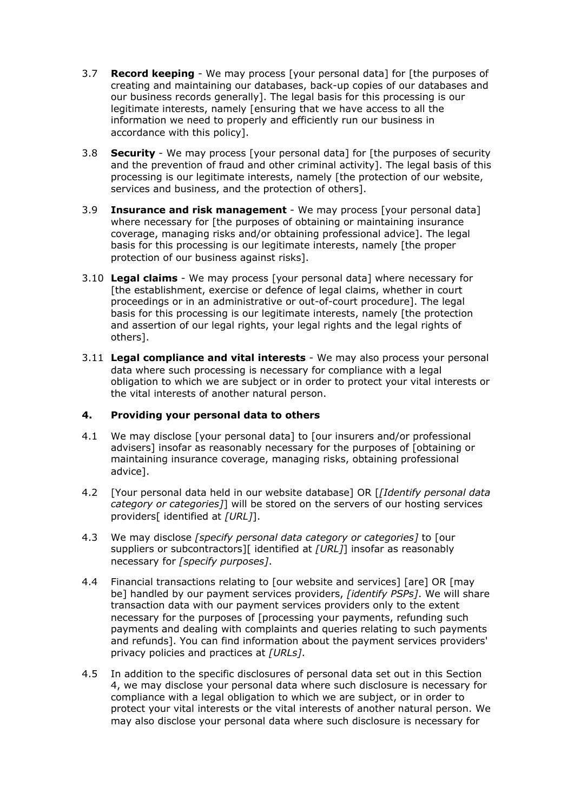- 3.7 **Record keeping** We may process [your personal data] for [the purposes of creating and maintaining our databases, back-up copies of our databases and our business records generally]. The legal basis for this processing is our legitimate interests, namely [ensuring that we have access to all the information we need to properly and efficiently run our business in accordance with this policy].
- 3.8 **Security** We may process [your personal data] for [the purposes of security and the prevention of fraud and other criminal activity]. The legal basis of this processing is our legitimate interests, namely [the protection of our website, services and business, and the protection of others].
- 3.9 **Insurance and risk management** We may process [your personal data] where necessary for [the purposes of obtaining or maintaining insurance coverage, managing risks and/or obtaining professional advice]. The legal basis for this processing is our legitimate interests, namely [the proper protection of our business against risks].
- 3.10 **Legal claims** We may process [your personal data] where necessary for [the establishment, exercise or defence of legal claims, whether in court proceedings or in an administrative or out-of-court procedure]. The legal basis for this processing is our legitimate interests, namely [the protection and assertion of our legal rights, your legal rights and the legal rights of others].
- 3.11 **Legal compliance and vital interests** We may also process your personal data where such processing is necessary for compliance with a legal obligation to which we are subject or in order to protect your vital interests or the vital interests of another natural person.

# **4. Providing your personal data to others**

- 4.1 We may disclose [your personal data] to [our insurers and/or professional advisers] insofar as reasonably necessary for the purposes of [obtaining or maintaining insurance coverage, managing risks, obtaining professional advice].
- 4.2 [Your personal data held in our website database] OR [*[Identify personal data category or categories]*] will be stored on the servers of our hosting services providers[ identified at *[URL]*].
- 4.3 We may disclose *[specify personal data category or categories]* to [our suppliers or subcontractors][ identified at *[URL]*] insofar as reasonably necessary for *[specify purposes]*.
- 4.4 Financial transactions relating to [our website and services] [are] OR [may be] handled by our payment services providers, *[identify PSPs]*. We will share transaction data with our payment services providers only to the extent necessary for the purposes of [processing your payments, refunding such payments and dealing with complaints and queries relating to such payments and refunds]. You can find information about the payment services providers' privacy policies and practices at *[URLs]*.
- 4.5 In addition to the specific disclosures of personal data set out in this Section 4, we may disclose your personal data where such disclosure is necessary for compliance with a legal obligation to which we are subject, or in order to protect your vital interests or the vital interests of another natural person. We may also disclose your personal data where such disclosure is necessary for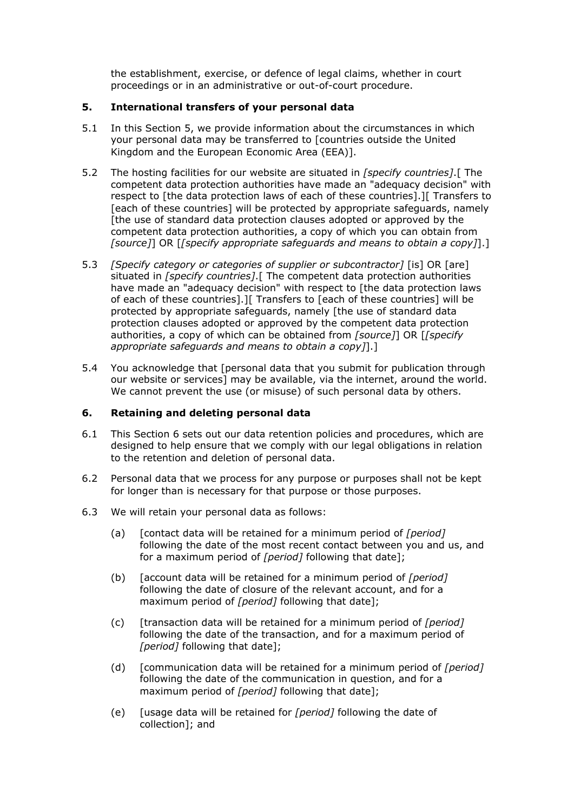the establishment, exercise, or defence of legal claims, whether in court proceedings or in an administrative or out-of-court procedure.

#### **5. International transfers of your personal data**

- 5.1 In this Section 5, we provide information about the circumstances in which your personal data may be transferred to [countries outside the United Kingdom and the European Economic Area (EEA)].
- 5.2 The hosting facilities for our website are situated in *[specify countries]*.[ The competent data protection authorities have made an "adequacy decision" with respect to [the data protection laws of each of these countries].][ Transfers to [each of these countries] will be protected by appropriate safeguards, namely [the use of standard data protection clauses adopted or approved by the competent data protection authorities, a copy of which you can obtain from *[source]*] OR [*[specify appropriate safeguards and means to obtain a copy]*].]
- 5.3 *[Specify category or categories of supplier or subcontractor]* [is] OR [are] situated in *[specify countries]*.[ The competent data protection authorities have made an "adequacy decision" with respect to [the data protection laws of each of these countries].][ Transfers to [each of these countries] will be protected by appropriate safeguards, namely [the use of standard data protection clauses adopted or approved by the competent data protection authorities, a copy of which can be obtained from *[source]*] OR [*[specify appropriate safeguards and means to obtain a copy]*].]
- 5.4 You acknowledge that [personal data that you submit for publication through our website or services] may be available, via the internet, around the world. We cannot prevent the use (or misuse) of such personal data by others.

# **6. Retaining and deleting personal data**

- 6.1 This Section 6 sets out our data retention policies and procedures, which are designed to help ensure that we comply with our legal obligations in relation to the retention and deletion of personal data.
- 6.2 Personal data that we process for any purpose or purposes shall not be kept for longer than is necessary for that purpose or those purposes.
- 6.3 We will retain your personal data as follows:
	- (a) [contact data will be retained for a minimum period of *[period]* following the date of the most recent contact between you and us, and for a maximum period of *[period]* following that date];
	- (b) [account data will be retained for a minimum period of *[period]* following the date of closure of the relevant account, and for a maximum period of *[period]* following that date];
	- (c) [transaction data will be retained for a minimum period of *[period]* following the date of the transaction, and for a maximum period of *[period]* following that date];
	- (d) [communication data will be retained for a minimum period of *[period]* following the date of the communication in question, and for a maximum period of *[period]* following that date];
	- (e) [usage data will be retained for *[period]* following the date of collection]; and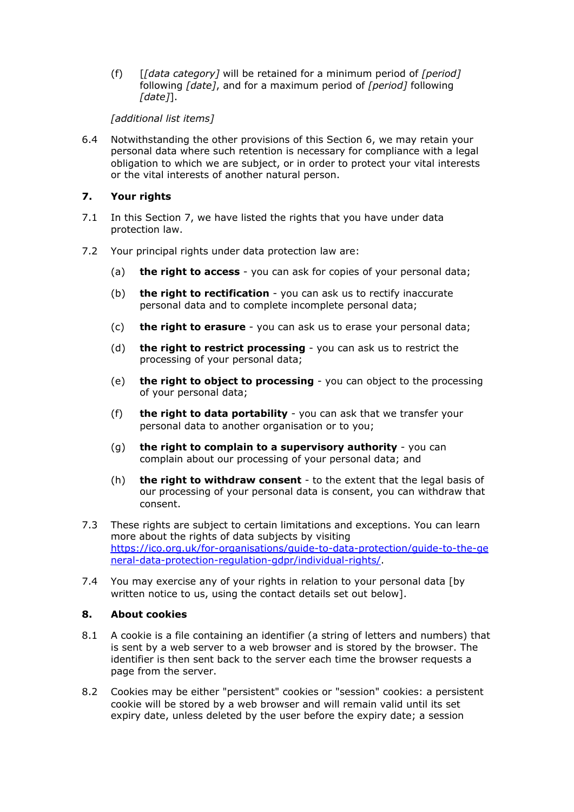(f) [*[data category]* will be retained for a minimum period of *[period]* following *[date]*, and for a maximum period of *[period]* following *[date]*].

# *[additional list items]*

6.4 Notwithstanding the other provisions of this Section 6, we may retain your personal data where such retention is necessary for compliance with a legal obligation to which we are subject, or in order to protect your vital interests or the vital interests of another natural person.

#### **7. Your rights**

- 7.1 In this Section 7, we have listed the rights that you have under data protection law.
- 7.2 Your principal rights under data protection law are:
	- (a) **the right to access** you can ask for copies of your personal data;
	- (b) **the right to rectification** you can ask us to rectify inaccurate personal data and to complete incomplete personal data;
	- (c) **the right to erasure** you can ask us to erase your personal data;
	- (d) **the right to restrict processing** you can ask us to restrict the processing of your personal data;
	- (e) **the right to object to processing** you can object to the processing of your personal data;
	- (f) **the right to data portability** you can ask that we transfer your personal data to another organisation or to you;
	- (g) **the right to complain to a supervisory authority** you can complain about our processing of your personal data; and
	- (h) **the right to withdraw consent** to the extent that the legal basis of our processing of your personal data is consent, you can withdraw that consent.
- 7.3 These rights are subject to certain limitations and exceptions. You can learn more about the rights of data subjects by visiting [https://ico.org.uk/for-organisations/guide-to-data-protection/guide-to-the-ge](https://ico.org.uk/for-organisations/guide-to-data-protection/guide-to-the-general-data-protection-regulation-gdpr/individual-rights/) [neral-data-protection-regulation-gdpr/individual-rights/.](https://ico.org.uk/for-organisations/guide-to-data-protection/guide-to-the-general-data-protection-regulation-gdpr/individual-rights/)
- 7.4 You may exercise any of your rights in relation to your personal data [by written notice to us, using the contact details set out below].

#### **8. About cookies**

- 8.1 A cookie is a file containing an identifier (a string of letters and numbers) that is sent by a web server to a web browser and is stored by the browser. The identifier is then sent back to the server each time the browser requests a page from the server.
- 8.2 Cookies may be either "persistent" cookies or "session" cookies: a persistent cookie will be stored by a web browser and will remain valid until its set expiry date, unless deleted by the user before the expiry date; a session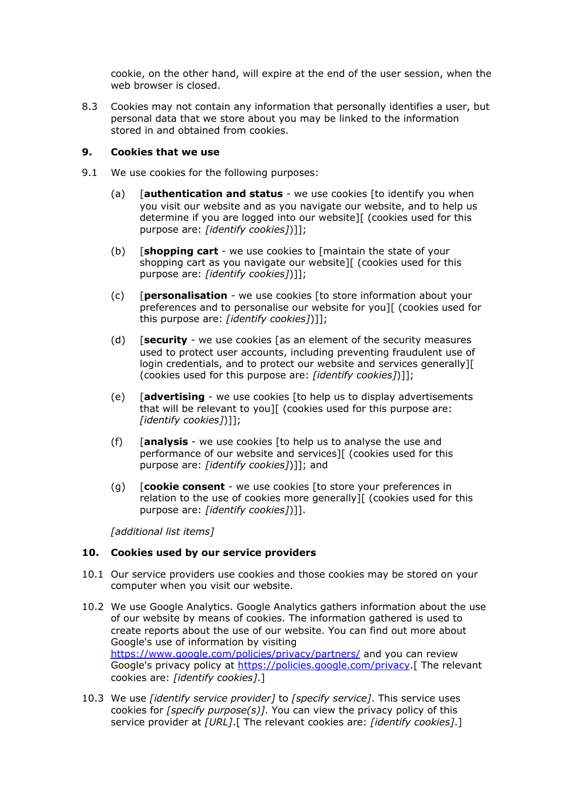cookie, on the other hand, will expire at the end of the user session, when the web browser is closed.

8.3 Cookies may not contain any information that personally identifies a user, but personal data that we store about you may be linked to the information stored in and obtained from cookies.

#### **9. Cookies that we use**

- 9.1 We use cookies for the following purposes:
	- (a) [**authentication and status** we use cookies [to identify you when you visit our website and as you navigate our website, and to help us determine if you are logged into our website][ (cookies used for this purpose are: *[identify cookies]*)]];
	- (b) [**shopping cart** we use cookies to [maintain the state of your shopping cart as you navigate our website][ (cookies used for this purpose are: *[identify cookies]*)]];
	- (c) [**personalisation** we use cookies [to store information about your preferences and to personalise our website for you][ (cookies used for this purpose are: *[identify cookies]*)]];
	- (d) [**security** we use cookies [as an element of the security measures used to protect user accounts, including preventing fraudulent use of login credentials, and to protect our website and services generally][ (cookies used for this purpose are: *[identify cookies]*)]];
	- (e) [**advertising** we use cookies [to help us to display advertisements that will be relevant to you][ (cookies used for this purpose are: *[identify cookies]*)]];
	- (f) [**analysis** we use cookies [to help us to analyse the use and performance of our website and services][ (cookies used for this purpose are: *[identify cookies]*)]]; and
	- (g) [**cookie consent** we use cookies [to store your preferences in relation to the use of cookies more generally][ (cookies used for this purpose are: *[identify cookies]*)]].

*[additional list items]*

# **10. Cookies used by our service providers**

- 10.1 Our service providers use cookies and those cookies may be stored on your computer when you visit our website.
- 10.2 We use Google Analytics. Google Analytics gathers information about the use of our website by means of cookies. The information gathered is used to create reports about the use of our website. You can find out more about Google's use of information by visiting <https://www.google.com/policies/privacy/partners/> and you can review Google's privacy policy at [https://policies.google.com/privacy.](https://policies.google.com/privacy)[ The relevant cookies are: *[identify cookies]*.]
- 10.3 We use *[identify service provider]* to *[specify service]*. This service uses cookies for *[specify purpose(s)]*. You can view the privacy policy of this service provider at *[URL]*.[ The relevant cookies are: *[identify cookies]*.]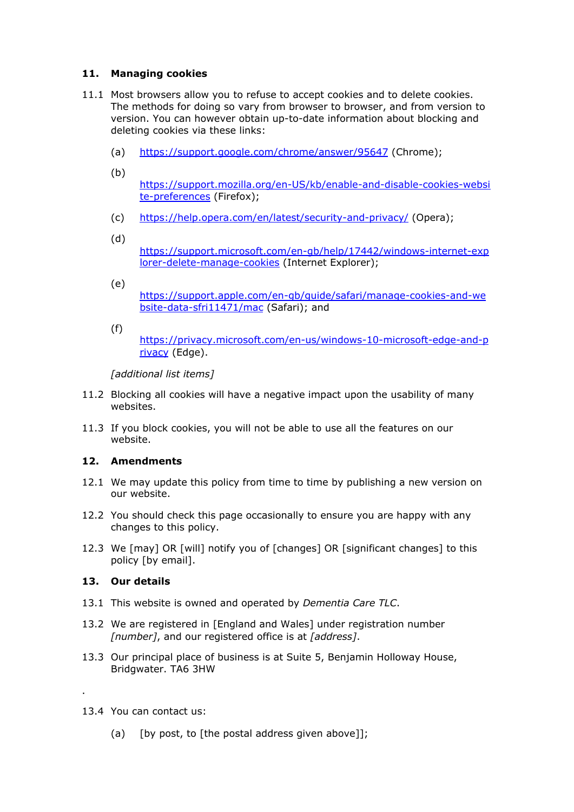# **11. Managing cookies**

- 11.1 Most browsers allow you to refuse to accept cookies and to delete cookies. The methods for doing so vary from browser to browser, and from version to version. You can however obtain up-to-date information about blocking and deleting cookies via these links:
	- (a) <https://support.google.com/chrome/answer/95647> (Chrome);
	- (b)
		- [https://support.mozilla.org/en-US/kb/enable-and-disable-cookies-websi](https://support.mozilla.org/en-US/kb/enable-and-disable-cookies-website-preferences) [te-preferences](https://support.mozilla.org/en-US/kb/enable-and-disable-cookies-website-preferences) (Firefox);
	- (c) <https://help.opera.com/en/latest/security-and-privacy/> (Opera);
	- (d)

[https://support.microsoft.com/en-gb/help/17442/windows-internet-exp](https://support.microsoft.com/en-gb/help/17442/windows-internet-explorer-delete-manage-cookies) [lorer-delete-manage-cookies](https://support.microsoft.com/en-gb/help/17442/windows-internet-explorer-delete-manage-cookies) (Internet Explorer);

- (e) [https://support.apple.com/en-gb/guide/safari/manage-cookies-and-we](https://support.apple.com/en-gb/guide/safari/manage-cookies-and-website-data-sfri11471/mac) [bsite-data-sfri11471/mac](https://support.apple.com/en-gb/guide/safari/manage-cookies-and-website-data-sfri11471/mac) (Safari); and
- (f)

[https://privacy.microsoft.com/en-us/windows-10-microsoft-edge-and-p](https://privacy.microsoft.com/en-us/windows-10-microsoft-edge-and-privacy) [rivacy](https://privacy.microsoft.com/en-us/windows-10-microsoft-edge-and-privacy) (Edge).

*[additional list items]*

- 11.2 Blocking all cookies will have a negative impact upon the usability of many websites.
- 11.3 If you block cookies, you will not be able to use all the features on our website.

# **12. Amendments**

- 12.1 We may update this policy from time to time by publishing a new version on our website.
- 12.2 You should check this page occasionally to ensure you are happy with any changes to this policy.
- 12.3 We [may] OR [will] notify you of [changes] OR [significant changes] to this policy [by email].

# **13. Our details**

- 13.1 This website is owned and operated by *Dementia Care TLC*.
- 13.2 We are registered in [England and Wales] under registration number *[number]*, and our registered office is at *[address]*.
- 13.3 Our principal place of business is at Suite 5, Benjamin Holloway House, Bridgwater. TA6 3HW
- 13.4 You can contact us:

.

(a) [by post, to [the postal address given above]];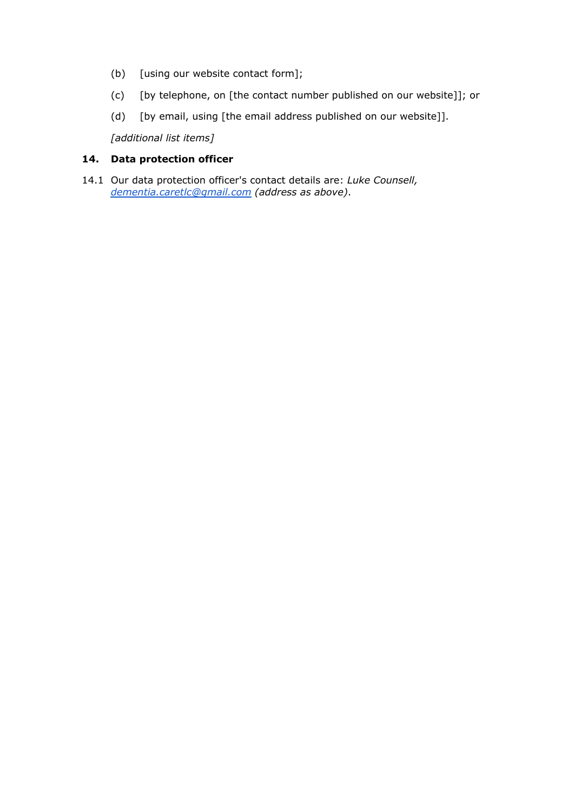- (b) [using our website contact form];
- (c) [by telephone, on [the contact number published on our website]]; or
- (d) [by email, using [the email address published on our website]].

*[additional list items]*

# **14. Data protection officer**

14.1 Our data protection officer's contact details are: *Luke Counsell, [dementia.caretlc@gmail.com](mailto:dementia.caretlc@gmail.com) (address as above)*.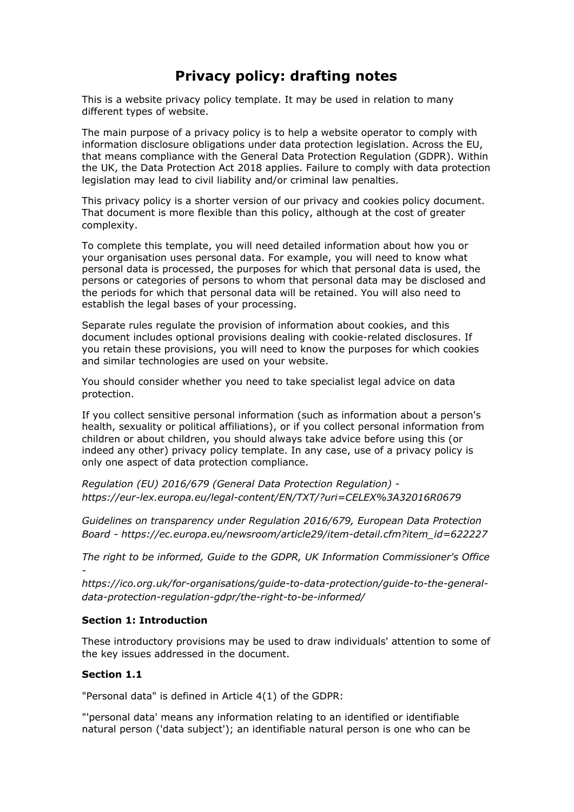# **Privacy policy: drafting notes**

This is a website privacy policy template. It may be used in relation to many different types of website.

The main purpose of a privacy policy is to help a website operator to comply with information disclosure obligations under data protection legislation. Across the EU, that means compliance with the General Data Protection Regulation (GDPR). Within the UK, the Data Protection Act 2018 applies. Failure to comply with data protection legislation may lead to civil liability and/or criminal law penalties.

This privacy policy is a shorter version of our privacy and cookies policy document. That document is more flexible than this policy, although at the cost of greater complexity.

To complete this template, you will need detailed information about how you or your organisation uses personal data. For example, you will need to know what personal data is processed, the purposes for which that personal data is used, the persons or categories of persons to whom that personal data may be disclosed and the periods for which that personal data will be retained. You will also need to establish the legal bases of your processing.

Separate rules regulate the provision of information about cookies, and this document includes optional provisions dealing with cookie-related disclosures. If you retain these provisions, you will need to know the purposes for which cookies and similar technologies are used on your website.

You should consider whether you need to take specialist legal advice on data protection.

If you collect sensitive personal information (such as information about a person's health, sexuality or political affiliations), or if you collect personal information from children or about children, you should always take advice before using this (or indeed any other) privacy policy template. In any case, use of a privacy policy is only one aspect of data protection compliance.

*Regulation (EU) 2016/679 (General Data Protection Regulation) https://eur-lex.europa.eu/legal-content/EN/TXT/?uri=CELEX%3A32016R0679*

*Guidelines on transparency under Regulation 2016/679, European Data Protection Board - https://ec.europa.eu/newsroom/article29/item-detail.cfm?item\_id=622227*

*The right to be informed, Guide to the GDPR, UK Information Commissioner's Office -*

*https://ico.org.uk/for-organisations/guide-to-data-protection/guide-to-the-generaldata-protection-regulation-gdpr/the-right-to-be-informed/*

#### **Section 1: Introduction**

These introductory provisions may be used to draw individuals' attention to some of the key issues addressed in the document.

# **Section 1.1**

"Personal data" is defined in Article 4(1) of the GDPR:

"'personal data' means any information relating to an identified or identifiable natural person ('data subject'); an identifiable natural person is one who can be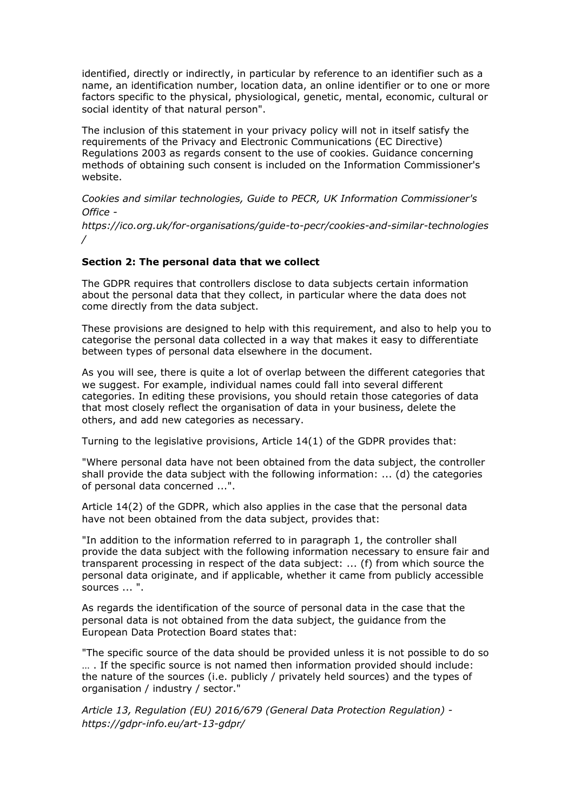identified, directly or indirectly, in particular by reference to an identifier such as a name, an identification number, location data, an online identifier or to one or more factors specific to the physical, physiological, genetic, mental, economic, cultural or social identity of that natural person".

The inclusion of this statement in your privacy policy will not in itself satisfy the requirements of the Privacy and Electronic Communications (EC Directive) Regulations 2003 as regards consent to the use of cookies. Guidance concerning methods of obtaining such consent is included on the Information Commissioner's website.

*Cookies and similar technologies, Guide to PECR, UK Information Commissioner's Office -*

*https://ico.org.uk/for-organisations/guide-to-pecr/cookies-and-similar-technologies /*

#### **Section 2: The personal data that we collect**

The GDPR requires that controllers disclose to data subjects certain information about the personal data that they collect, in particular where the data does not come directly from the data subject.

These provisions are designed to help with this requirement, and also to help you to categorise the personal data collected in a way that makes it easy to differentiate between types of personal data elsewhere in the document.

As you will see, there is quite a lot of overlap between the different categories that we suggest. For example, individual names could fall into several different categories. In editing these provisions, you should retain those categories of data that most closely reflect the organisation of data in your business, delete the others, and add new categories as necessary.

Turning to the legislative provisions, Article 14(1) of the GDPR provides that:

"Where personal data have not been obtained from the data subject, the controller shall provide the data subject with the following information: ... (d) the categories of personal data concerned ...".

Article 14(2) of the GDPR, which also applies in the case that the personal data have not been obtained from the data subject, provides that:

"In addition to the information referred to in paragraph 1, the controller shall provide the data subject with the following information necessary to ensure fair and transparent processing in respect of the data subject: ... (f) from which source the personal data originate, and if applicable, whether it came from publicly accessible sources ... ".

As regards the identification of the source of personal data in the case that the personal data is not obtained from the data subject, the guidance from the European Data Protection Board states that:

"The specific source of the data should be provided unless it is not possible to do so … . If the specific source is not named then information provided should include: the nature of the sources (i.e. publicly / privately held sources) and the types of organisation / industry / sector."

*Article 13, Regulation (EU) 2016/679 (General Data Protection Regulation) https://gdpr-info.eu/art-13-gdpr/*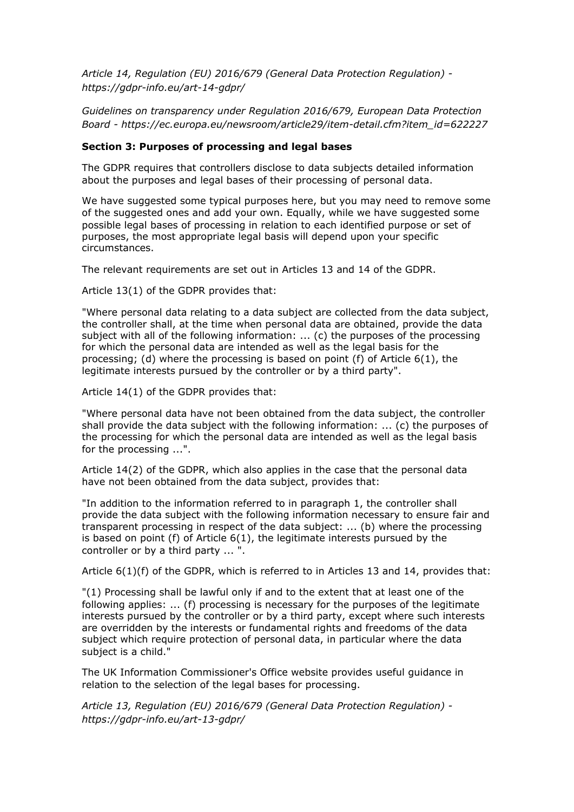*Article 14, Regulation (EU) 2016/679 (General Data Protection Regulation) https://gdpr-info.eu/art-14-gdpr/*

*Guidelines on transparency under Regulation 2016/679, European Data Protection Board - https://ec.europa.eu/newsroom/article29/item-detail.cfm?item\_id=622227*

#### **Section 3: Purposes of processing and legal bases**

The GDPR requires that controllers disclose to data subjects detailed information about the purposes and legal bases of their processing of personal data.

We have suggested some typical purposes here, but you may need to remove some of the suggested ones and add your own. Equally, while we have suggested some possible legal bases of processing in relation to each identified purpose or set of purposes, the most appropriate legal basis will depend upon your specific circumstances.

The relevant requirements are set out in Articles 13 and 14 of the GDPR.

Article 13(1) of the GDPR provides that:

"Where personal data relating to a data subject are collected from the data subject, the controller shall, at the time when personal data are obtained, provide the data subject with all of the following information: ... (c) the purposes of the processing for which the personal data are intended as well as the legal basis for the processing; (d) where the processing is based on point (f) of Article  $6(1)$ , the legitimate interests pursued by the controller or by a third party".

Article 14(1) of the GDPR provides that:

"Where personal data have not been obtained from the data subject, the controller shall provide the data subject with the following information: ... (c) the purposes of the processing for which the personal data are intended as well as the legal basis for the processing ...".

Article 14(2) of the GDPR, which also applies in the case that the personal data have not been obtained from the data subject, provides that:

"In addition to the information referred to in paragraph 1, the controller shall provide the data subject with the following information necessary to ensure fair and transparent processing in respect of the data subject: ... (b) where the processing is based on point (f) of Article  $6(1)$ , the legitimate interests pursued by the controller or by a third party ... ".

Article 6(1)(f) of the GDPR, which is referred to in Articles 13 and 14, provides that:

"(1) Processing shall be lawful only if and to the extent that at least one of the following applies: ... (f) processing is necessary for the purposes of the legitimate interests pursued by the controller or by a third party, except where such interests are overridden by the interests or fundamental rights and freedoms of the data subject which require protection of personal data, in particular where the data subject is a child."

The UK Information Commissioner's Office website provides useful guidance in relation to the selection of the legal bases for processing.

*Article 13, Regulation (EU) 2016/679 (General Data Protection Regulation) https://gdpr-info.eu/art-13-gdpr/*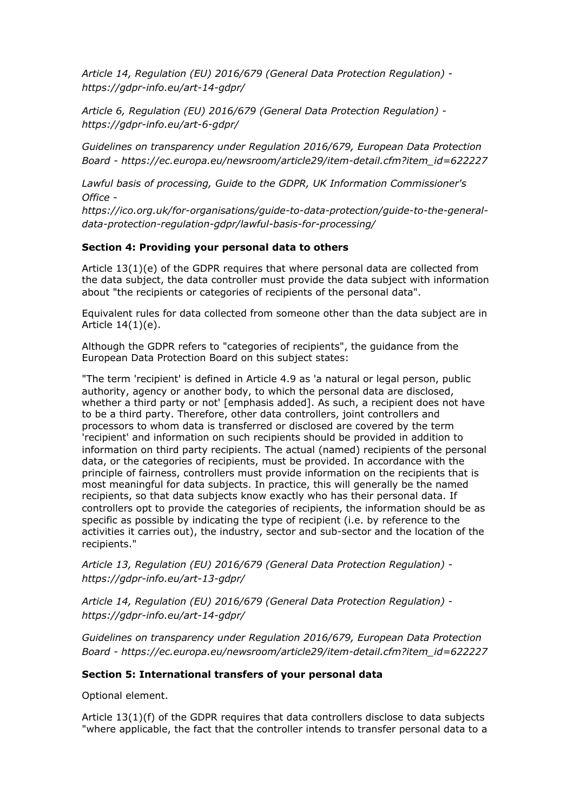*Article 14, Regulation (EU) 2016/679 (General Data Protection Regulation) https://gdpr-info.eu/art-14-gdpr/*

*Article 6, Regulation (EU) 2016/679 (General Data Protection Regulation) https://gdpr-info.eu/art-6-gdpr/*

*Guidelines on transparency under Regulation 2016/679, European Data Protection Board - https://ec.europa.eu/newsroom/article29/item-detail.cfm?item\_id=622227*

*Lawful basis of processing, Guide to the GDPR, UK Information Commissioner's Office -*

*https://ico.org.uk/for-organisations/guide-to-data-protection/guide-to-the-generaldata-protection-regulation-gdpr/lawful-basis-for-processing/*

#### **Section 4: Providing your personal data to others**

Article 13(1)(e) of the GDPR requires that where personal data are collected from the data subject, the data controller must provide the data subject with information about "the recipients or categories of recipients of the personal data".

Equivalent rules for data collected from someone other than the data subject are in Article 14(1)(e).

Although the GDPR refers to "categories of recipients", the guidance from the European Data Protection Board on this subject states:

"The term 'recipient' is defined in Article 4.9 as 'a natural or legal person, public authority, agency or another body, to which the personal data are disclosed, whether a third party or not' [emphasis added]. As such, a recipient does not have to be a third party. Therefore, other data controllers, joint controllers and processors to whom data is transferred or disclosed are covered by the term 'recipient' and information on such recipients should be provided in addition to information on third party recipients. The actual (named) recipients of the personal data, or the categories of recipients, must be provided. In accordance with the principle of fairness, controllers must provide information on the recipients that is most meaningful for data subjects. In practice, this will generally be the named recipients, so that data subjects know exactly who has their personal data. If controllers opt to provide the categories of recipients, the information should be as specific as possible by indicating the type of recipient (i.e. by reference to the activities it carries out), the industry, sector and sub-sector and the location of the recipients."

*Article 13, Regulation (EU) 2016/679 (General Data Protection Regulation) https://gdpr-info.eu/art-13-gdpr/*

*Article 14, Regulation (EU) 2016/679 (General Data Protection Regulation) https://gdpr-info.eu/art-14-gdpr/*

*Guidelines on transparency under Regulation 2016/679, European Data Protection Board - https://ec.europa.eu/newsroom/article29/item-detail.cfm?item\_id=622227*

#### **Section 5: International transfers of your personal data**

Optional element.

Article 13(1)(f) of the GDPR requires that data controllers disclose to data subjects "where applicable, the fact that the controller intends to transfer personal data to a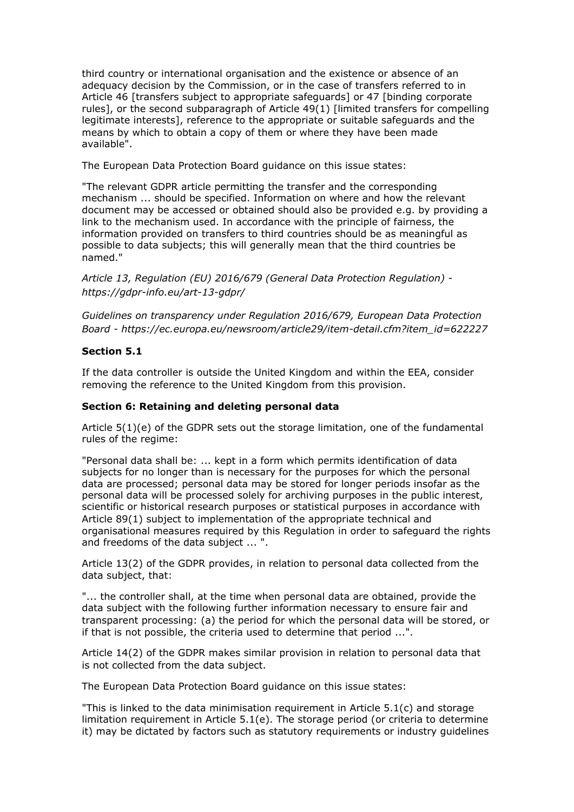third country or international organisation and the existence or absence of an adequacy decision by the Commission, or in the case of transfers referred to in Article 46 [transfers subject to appropriate safeguards] or 47 [binding corporate rules], or the second subparagraph of Article 49(1) [limited transfers for compelling legitimate interests], reference to the appropriate or suitable safeguards and the means by which to obtain a copy of them or where they have been made available".

The European Data Protection Board guidance on this issue states:

"The relevant GDPR article permitting the transfer and the corresponding mechanism ... should be specified. Information on where and how the relevant document may be accessed or obtained should also be provided e.g. by providing a link to the mechanism used. In accordance with the principle of fairness, the information provided on transfers to third countries should be as meaningful as possible to data subjects; this will generally mean that the third countries be named."

*Article 13, Regulation (EU) 2016/679 (General Data Protection Regulation) https://gdpr-info.eu/art-13-gdpr/*

*Guidelines on transparency under Regulation 2016/679, European Data Protection Board - https://ec.europa.eu/newsroom/article29/item-detail.cfm?item\_id=622227*

#### **Section 5.1**

If the data controller is outside the United Kingdom and within the EEA, consider removing the reference to the United Kingdom from this provision.

#### **Section 6: Retaining and deleting personal data**

Article 5(1)(e) of the GDPR sets out the storage limitation, one of the fundamental rules of the regime:

"Personal data shall be: ... kept in a form which permits identification of data subjects for no longer than is necessary for the purposes for which the personal data are processed; personal data may be stored for longer periods insofar as the personal data will be processed solely for archiving purposes in the public interest, scientific or historical research purposes or statistical purposes in accordance with Article 89(1) subject to implementation of the appropriate technical and organisational measures required by this Regulation in order to safeguard the rights and freedoms of the data subject ... ".

Article 13(2) of the GDPR provides, in relation to personal data collected from the data subject, that:

"... the controller shall, at the time when personal data are obtained, provide the data subject with the following further information necessary to ensure fair and transparent processing: (a) the period for which the personal data will be stored, or if that is not possible, the criteria used to determine that period ...".

Article 14(2) of the GDPR makes similar provision in relation to personal data that is not collected from the data subject.

The European Data Protection Board guidance on this issue states:

"This is linked to the data minimisation requirement in Article 5.1(c) and storage limitation requirement in Article 5.1(e). The storage period (or criteria to determine it) may be dictated by factors such as statutory requirements or industry guidelines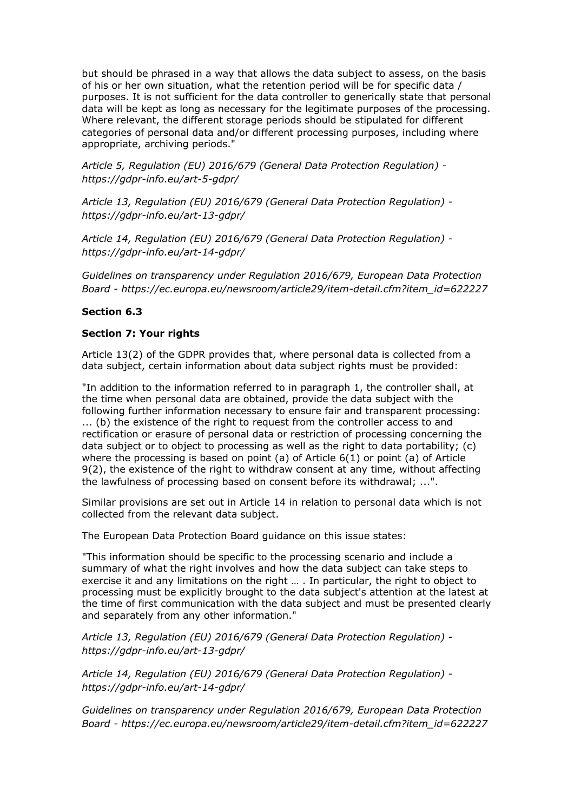but should be phrased in a way that allows the data subject to assess, on the basis of his or her own situation, what the retention period will be for specific data / purposes. It is not sufficient for the data controller to generically state that personal data will be kept as long as necessary for the legitimate purposes of the processing. Where relevant, the different storage periods should be stipulated for different categories of personal data and/or different processing purposes, including where appropriate, archiving periods."

*Article 5, Regulation (EU) 2016/679 (General Data Protection Regulation) https://gdpr-info.eu/art-5-gdpr/*

*Article 13, Regulation (EU) 2016/679 (General Data Protection Regulation) https://gdpr-info.eu/art-13-gdpr/*

*Article 14, Regulation (EU) 2016/679 (General Data Protection Regulation) https://gdpr-info.eu/art-14-gdpr/*

*Guidelines on transparency under Regulation 2016/679, European Data Protection Board - https://ec.europa.eu/newsroom/article29/item-detail.cfm?item\_id=622227*

#### **Section 6.3**

#### **Section 7: Your rights**

Article 13(2) of the GDPR provides that, where personal data is collected from a data subject, certain information about data subject rights must be provided:

"In addition to the information referred to in paragraph 1, the controller shall, at the time when personal data are obtained, provide the data subject with the following further information necessary to ensure fair and transparent processing: ... (b) the existence of the right to request from the controller access to and rectification or erasure of personal data or restriction of processing concerning the data subject or to object to processing as well as the right to data portability; (c) where the processing is based on point (a) of Article  $6(1)$  or point (a) of Article 9(2), the existence of the right to withdraw consent at any time, without affecting the lawfulness of processing based on consent before its withdrawal; ...".

Similar provisions are set out in Article 14 in relation to personal data which is not collected from the relevant data subject.

The European Data Protection Board guidance on this issue states:

"This information should be specific to the processing scenario and include a summary of what the right involves and how the data subject can take steps to exercise it and any limitations on the right … . In particular, the right to object to processing must be explicitly brought to the data subject's attention at the latest at the time of first communication with the data subject and must be presented clearly and separately from any other information."

*Article 13, Regulation (EU) 2016/679 (General Data Protection Regulation) https://gdpr-info.eu/art-13-gdpr/*

*Article 14, Regulation (EU) 2016/679 (General Data Protection Regulation) https://gdpr-info.eu/art-14-gdpr/*

*Guidelines on transparency under Regulation 2016/679, European Data Protection Board - https://ec.europa.eu/newsroom/article29/item-detail.cfm?item\_id=622227*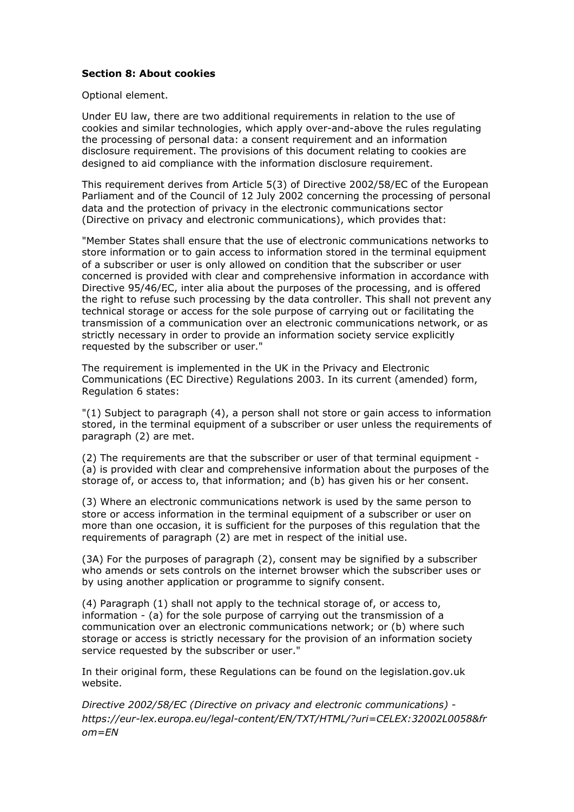#### **Section 8: About cookies**

Optional element.

Under EU law, there are two additional requirements in relation to the use of cookies and similar technologies, which apply over-and-above the rules regulating the processing of personal data: a consent requirement and an information disclosure requirement. The provisions of this document relating to cookies are designed to aid compliance with the information disclosure requirement.

This requirement derives from Article 5(3) of Directive 2002/58/EC of the European Parliament and of the Council of 12 July 2002 concerning the processing of personal data and the protection of privacy in the electronic communications sector (Directive on privacy and electronic communications), which provides that:

"Member States shall ensure that the use of electronic communications networks to store information or to gain access to information stored in the terminal equipment of a subscriber or user is only allowed on condition that the subscriber or user concerned is provided with clear and comprehensive information in accordance with Directive 95/46/EC, inter alia about the purposes of the processing, and is offered the right to refuse such processing by the data controller. This shall not prevent any technical storage or access for the sole purpose of carrying out or facilitating the transmission of a communication over an electronic communications network, or as strictly necessary in order to provide an information society service explicitly requested by the subscriber or user."

The requirement is implemented in the UK in the Privacy and Electronic Communications (EC Directive) Regulations 2003. In its current (amended) form, Regulation 6 states:

"(1) Subject to paragraph (4), a person shall not store or gain access to information stored, in the terminal equipment of a subscriber or user unless the requirements of paragraph (2) are met.

(2) The requirements are that the subscriber or user of that terminal equipment - (a) is provided with clear and comprehensive information about the purposes of the storage of, or access to, that information; and (b) has given his or her consent.

(3) Where an electronic communications network is used by the same person to store or access information in the terminal equipment of a subscriber or user on more than one occasion, it is sufficient for the purposes of this regulation that the requirements of paragraph (2) are met in respect of the initial use.

(3A) For the purposes of paragraph (2), consent may be signified by a subscriber who amends or sets controls on the internet browser which the subscriber uses or by using another application or programme to signify consent.

(4) Paragraph (1) shall not apply to the technical storage of, or access to, information - (a) for the sole purpose of carrying out the transmission of a communication over an electronic communications network; or (b) where such storage or access is strictly necessary for the provision of an information society service requested by the subscriber or user."

In their original form, these Regulations can be found on the legislation.gov.uk website.

*Directive 2002/58/EC (Directive on privacy and electronic communications) https://eur-lex.europa.eu/legal-content/EN/TXT/HTML/?uri=CELEX:32002L0058&fr om=EN*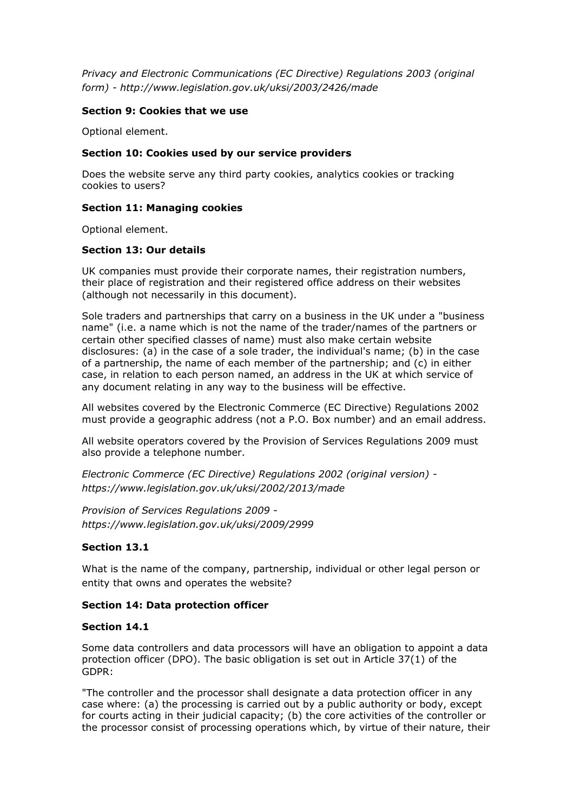*Privacy and Electronic Communications (EC Directive) Regulations 2003 (original form) - http://www.legislation.gov.uk/uksi/2003/2426/made*

#### **Section 9: Cookies that we use**

Optional element.

#### **Section 10: Cookies used by our service providers**

Does the website serve any third party cookies, analytics cookies or tracking cookies to users?

#### **Section 11: Managing cookies**

Optional element.

#### **Section 13: Our details**

UK companies must provide their corporate names, their registration numbers, their place of registration and their registered office address on their websites (although not necessarily in this document).

Sole traders and partnerships that carry on a business in the UK under a "business name" (i.e. a name which is not the name of the trader/names of the partners or certain other specified classes of name) must also make certain website disclosures: (a) in the case of a sole trader, the individual's name; (b) in the case of a partnership, the name of each member of the partnership; and (c) in either case, in relation to each person named, an address in the UK at which service of any document relating in any way to the business will be effective.

All websites covered by the Electronic Commerce (EC Directive) Regulations 2002 must provide a geographic address (not a P.O. Box number) and an email address.

All website operators covered by the Provision of Services Regulations 2009 must also provide a telephone number.

*Electronic Commerce (EC Directive) Regulations 2002 (original version) https://www.legislation.gov.uk/uksi/2002/2013/made*

*Provision of Services Regulations 2009 https://www.legislation.gov.uk/uksi/2009/2999*

#### **Section 13.1**

What is the name of the company, partnership, individual or other legal person or entity that owns and operates the website?

#### **Section 14: Data protection officer**

#### **Section 14.1**

Some data controllers and data processors will have an obligation to appoint a data protection officer (DPO). The basic obligation is set out in Article 37(1) of the GDPR:

"The controller and the processor shall designate a data protection officer in any case where: (a) the processing is carried out by a public authority or body, except for courts acting in their judicial capacity; (b) the core activities of the controller or the processor consist of processing operations which, by virtue of their nature, their